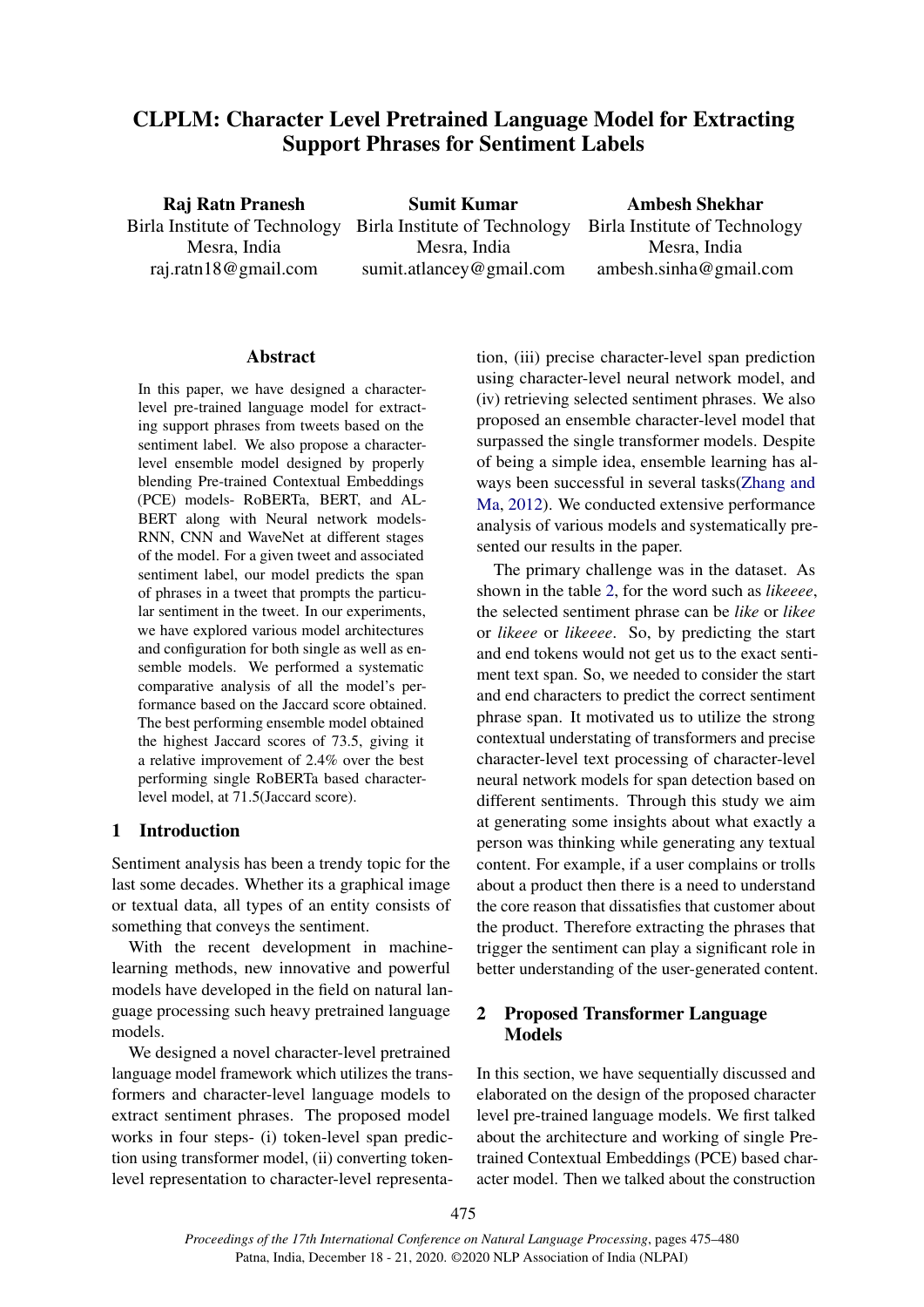# CLPLM: Character Level Pretrained Language Model for Extracting Support Phrases for Sentiment Labels

Raj Ratn Pranesh Birla Institute of Technology Mesra, India raj.ratn18@gmail.com

Sumit Kumar Birla Institute of Technology Mesra, India sumit.atlancey@gmail.com

Ambesh Shekhar Birla Institute of Technology Mesra, India ambesh.sinha@gmail.com

# Abstract

In this paper, we have designed a characterlevel pre-trained language model for extracting support phrases from tweets based on the sentiment label. We also propose a characterlevel ensemble model designed by properly blending Pre-trained Contextual Embeddings (PCE) models- RoBERTa, BERT, and AL-BERT along with Neural network models-RNN, CNN and WaveNet at different stages of the model. For a given tweet and associated sentiment label, our model predicts the span of phrases in a tweet that prompts the particular sentiment in the tweet. In our experiments, we have explored various model architectures and configuration for both single as well as ensemble models. We performed a systematic comparative analysis of all the model's performance based on the Jaccard score obtained. The best performing ensemble model obtained the highest Jaccard scores of 73.5, giving it a relative improvement of 2.4% over the best performing single RoBERTa based characterlevel model, at 71.5(Jaccard score).

# 1 Introduction

Sentiment analysis has been a trendy topic for the last some decades. Whether its a graphical image or textual data, all types of an entity consists of something that conveys the sentiment.

With the recent development in machinelearning methods, new innovative and powerful models have developed in the field on natural language processing such heavy pretrained language models.

We designed a novel character-level pretrained language model framework which utilizes the transformers and character-level language models to extract sentiment phrases. The proposed model works in four steps- (i) token-level span prediction using transformer model, (ii) converting tokenlevel representation to character-level representation, (iii) precise character-level span prediction using character-level neural network model, and (iv) retrieving selected sentiment phrases. We also proposed an ensemble character-level model that surpassed the single transformer models. Despite of being a simple idea, ensemble learning has always been successful in several tasks[\(Zhang and](#page-4-0) [Ma,](#page-4-0) [2012\)](#page-4-0). We conducted extensive performance analysis of various models and systematically presented our results in the paper.

The primary challenge was in the dataset. As shown in the table [2,](#page-5-0) for the word such as *likeeee*, the selected sentiment phrase can be *like* or *likee* or *likeee* or *likeeee*. So, by predicting the start and end tokens would not get us to the exact sentiment text span. So, we needed to consider the start and end characters to predict the correct sentiment phrase span. It motivated us to utilize the strong contextual understating of transformers and precise character-level text processing of character-level neural network models for span detection based on different sentiments. Through this study we aim at generating some insights about what exactly a person was thinking while generating any textual content. For example, if a user complains or trolls about a product then there is a need to understand the core reason that dissatisfies that customer about the product. Therefore extracting the phrases that trigger the sentiment can play a significant role in better understanding of the user-generated content.

# 2 Proposed Transformer Language Models

In this section, we have sequentially discussed and elaborated on the design of the proposed character level pre-trained language models. We first talked about the architecture and working of single Pretrained Contextual Embeddings (PCE) based character model. Then we talked about the construction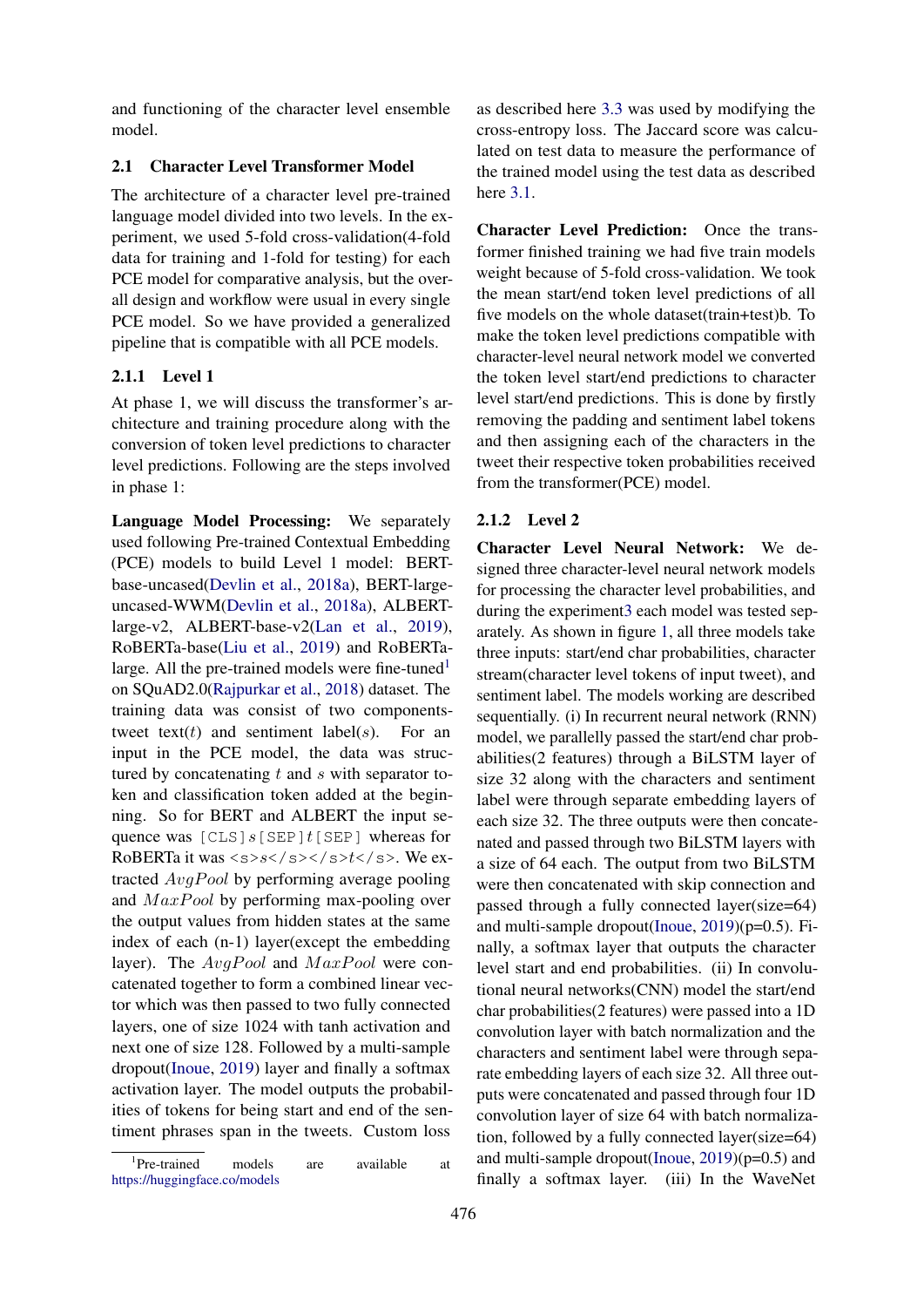and functioning of the character level ensemble model.

# 2.1 Character Level Transformer Model

The architecture of a character level pre-trained language model divided into two levels. In the experiment, we used 5-fold cross-validation(4-fold data for training and 1-fold for testing) for each PCE model for comparative analysis, but the overall design and workflow were usual in every single PCE model. So we have provided a generalized pipeline that is compatible with all PCE models.

# 2.1.1 Level 1

At phase 1, we will discuss the transformer's architecture and training procedure along with the conversion of token level predictions to character level predictions. Following are the steps involved in phase 1:

Language Model Processing: We separately used following Pre-trained Contextual Embedding (PCE) models to build Level 1 model: BERTbase-uncased[\(Devlin et al.,](#page-4-1) [2018a\)](#page-4-1), BERT-largeuncased-WWM[\(Devlin et al.,](#page-4-1) [2018a\)](#page-4-1), ALBERTlarge-v2, ALBERT-base-v2[\(Lan et al.,](#page-4-2) [2019\)](#page-4-2), RoBERTa-base[\(Liu et al.,](#page-4-3) [2019\)](#page-4-3) and RoBERTa-large. All the pre-trained models were fine-tuned<sup>[1](#page-1-0)</sup> on SQuAD2.0[\(Rajpurkar et al.,](#page-4-4) [2018\)](#page-4-4) dataset. The training data was consist of two componentstweet text(t) and sentiment label(s). For an input in the PCE model, the data was structured by concatenating  $t$  and  $s$  with separator token and classification token added at the beginning. So for BERT and ALBERT the input sequence was  $[CLS]s[SEP]t[SEP]$  whereas for RoBERTa it was  $\langle s \rangle$ s $\langle s \rangle$   $\langle s \rangle$   $\langle s \rangle$   $\langle s \rangle$ . We extracted  $AvgPool$  by performing average pooling and  $MaxPool$  by performing max-pooling over the output values from hidden states at the same index of each (n-1) layer(except the embedding layer). The  $AvgPool$  and  $MaxPool$  were concatenated together to form a combined linear vector which was then passed to two fully connected layers, one of size 1024 with tanh activation and next one of size 128. Followed by a multi-sample dropout[\(Inoue,](#page-4-5) [2019\)](#page-4-5) layer and finally a softmax activation layer. The model outputs the probabilities of tokens for being start and end of the sentiment phrases span in the tweets. Custom loss

<span id="page-1-0"></span>1 Pre-trained models are available at <https://huggingface.co/models>

as described here [3.3](#page-3-0) was used by modifying the cross-entropy loss. The Jaccard score was calculated on test data to measure the performance of the trained model using the test data as described here [3.1.](#page-2-0)

Character Level Prediction: Once the transformer finished training we had five train models weight because of 5-fold cross-validation. We took the mean start/end token level predictions of all five models on the whole dataset(train+test)b. To make the token level predictions compatible with character-level neural network model we converted the token level start/end predictions to character level start/end predictions. This is done by firstly removing the padding and sentiment label tokens and then assigning each of the characters in the tweet their respective token probabilities received from the transformer(PCE) model.

# 2.1.2 Level 2

<span id="page-1-1"></span>Character Level Neural Network: We designed three character-level neural network models for processing the character level probabilities, and during the experimen[t3](#page-2-1) each model was tested separately. As shown in figure [1,](#page-5-1) all three models take three inputs: start/end char probabilities, character stream(character level tokens of input tweet), and sentiment label. The models working are described sequentially. (i) In recurrent neural network (RNN) model, we parallelly passed the start/end char probabilities(2 features) through a BiLSTM layer of size 32 along with the characters and sentiment label were through separate embedding layers of each size 32. The three outputs were then concatenated and passed through two BiLSTM layers with a size of 64 each. The output from two BiLSTM were then concatenated with skip connection and passed through a fully connected layer(size=64) and multi-sample dropout[\(Inoue,](#page-4-5) [2019\)](#page-4-5)(p=0.5). Finally, a softmax layer that outputs the character level start and end probabilities. (ii) In convolutional neural networks(CNN) model the start/end char probabilities(2 features) were passed into a 1D convolution layer with batch normalization and the characters and sentiment label were through separate embedding layers of each size 32. All three outputs were concatenated and passed through four 1D convolution layer of size 64 with batch normalization, followed by a fully connected layer(size=64) and multi-sample dropout[\(Inoue,](#page-4-5) [2019\)](#page-4-5)(p=0.5) and finally a softmax layer. (iii) In the WaveNet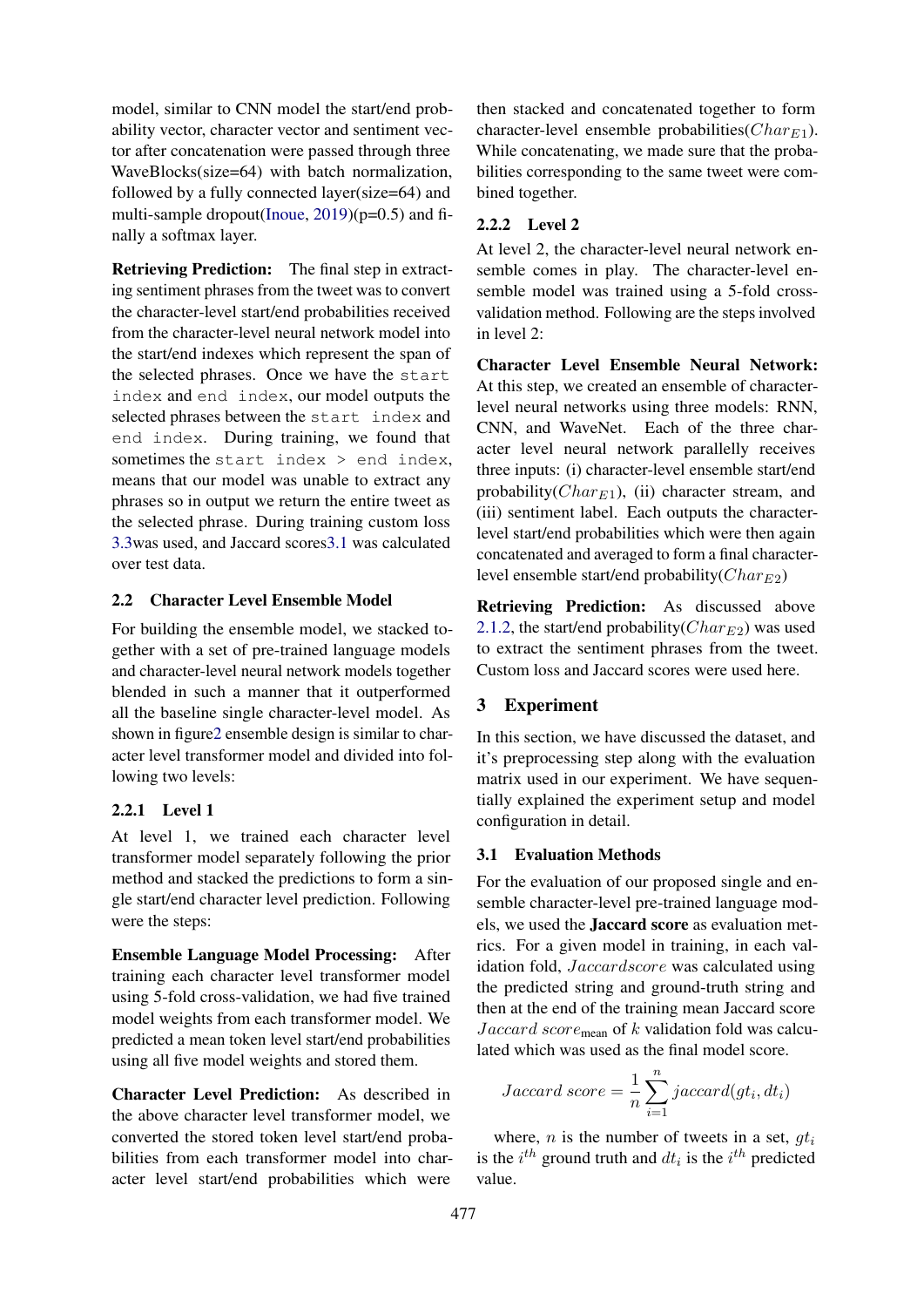model, similar to CNN model the start/end probability vector, character vector and sentiment vector after concatenation were passed through three WaveBlocks(size=64) with batch normalization, followed by a fully connected layer(size=64) and multi-sample dropout[\(Inoue,](#page-4-5) [2019\)](#page-4-5)(p=0.5) and finally a softmax layer.

<span id="page-2-2"></span>Retrieving Prediction: The final step in extracting sentiment phrases from the tweet was to convert the character-level start/end probabilities received from the character-level neural network model into the start/end indexes which represent the span of the selected phrases. Once we have the start index and end index, our model outputs the selected phrases between the start index and end index. During training, we found that sometimes the start index > end index, means that our model was unable to extract any phrases so in output we return the entire tweet as the selected phrase. During training custom loss [3.3w](#page-3-0)as used, and Jaccard score[s3.1](#page-2-0) was calculated over test data.

### 2.2 Character Level Ensemble Model

For building the ensemble model, we stacked together with a set of pre-trained language models and character-level neural network models together blended in such a manner that it outperformed all the baseline single character-level model. As shown in figur[e2](#page-5-2) ensemble design is similar to character level transformer model and divided into following two levels:

### 2.2.1 Level 1

At level 1, we trained each character level transformer model separately following the prior method and stacked the predictions to form a single start/end character level prediction. Following were the steps:

Ensemble Language Model Processing: After training each character level transformer model using 5-fold cross-validation, we had five trained model weights from each transformer model. We predicted a mean token level start/end probabilities using all five model weights and stored them.

Character Level Prediction: As described in the above character level transformer model, we converted the stored token level start/end probabilities from each transformer model into character level start/end probabilities which were

then stacked and concatenated together to form character-level ensemble probabilities( $Char_{E1}$ ). While concatenating, we made sure that the probabilities corresponding to the same tweet were combined together.

# 2.2.2 Level 2

At level 2, the character-level neural network ensemble comes in play. The character-level ensemble model was trained using a 5-fold crossvalidation method. Following are the steps involved in level 2:

Character Level Ensemble Neural Network: At this step, we created an ensemble of characterlevel neural networks using three models: RNN, CNN, and WaveNet. Each of the three character level neural network parallelly receives three inputs: (i) character-level ensemble start/end probability( $Char_{E1}$ ), (ii) character stream, and (iii) sentiment label. Each outputs the characterlevel start/end probabilities which were then again concatenated and averaged to form a final characterlevel ensemble start/end probability( $Char_{E2}$ )

Retrieving Prediction: As discussed above [2.1.2,](#page-2-2) the start/end probability( $Char_{E2}$ ) was used to extract the sentiment phrases from the tweet. Custom loss and Jaccard scores were used here.

# <span id="page-2-1"></span>3 Experiment

In this section, we have discussed the dataset, and it's preprocessing step along with the evaluation matrix used in our experiment. We have sequentially explained the experiment setup and model configuration in detail.

### <span id="page-2-0"></span>3.1 Evaluation Methods

For the evaluation of our proposed single and ensemble character-level pre-trained language models, we used the Jaccard score as evaluation metrics. For a given model in training, in each validation fold, Jaccardscore was calculated using the predicted string and ground-truth string and then at the end of the training mean Jaccard score Jaccard score<sub>mean</sub> of k validation fold was calculated which was used as the final model score.

Jaccard score = 
$$
\frac{1}{n} \sum_{i=1}^{n} jaccard(gt_i, dt_i)
$$

where, *n* is the number of tweets in a set,  $gt_i$ is the  $i^{th}$  ground truth and  $dt_i$  is the  $i^{th}$  predicted value.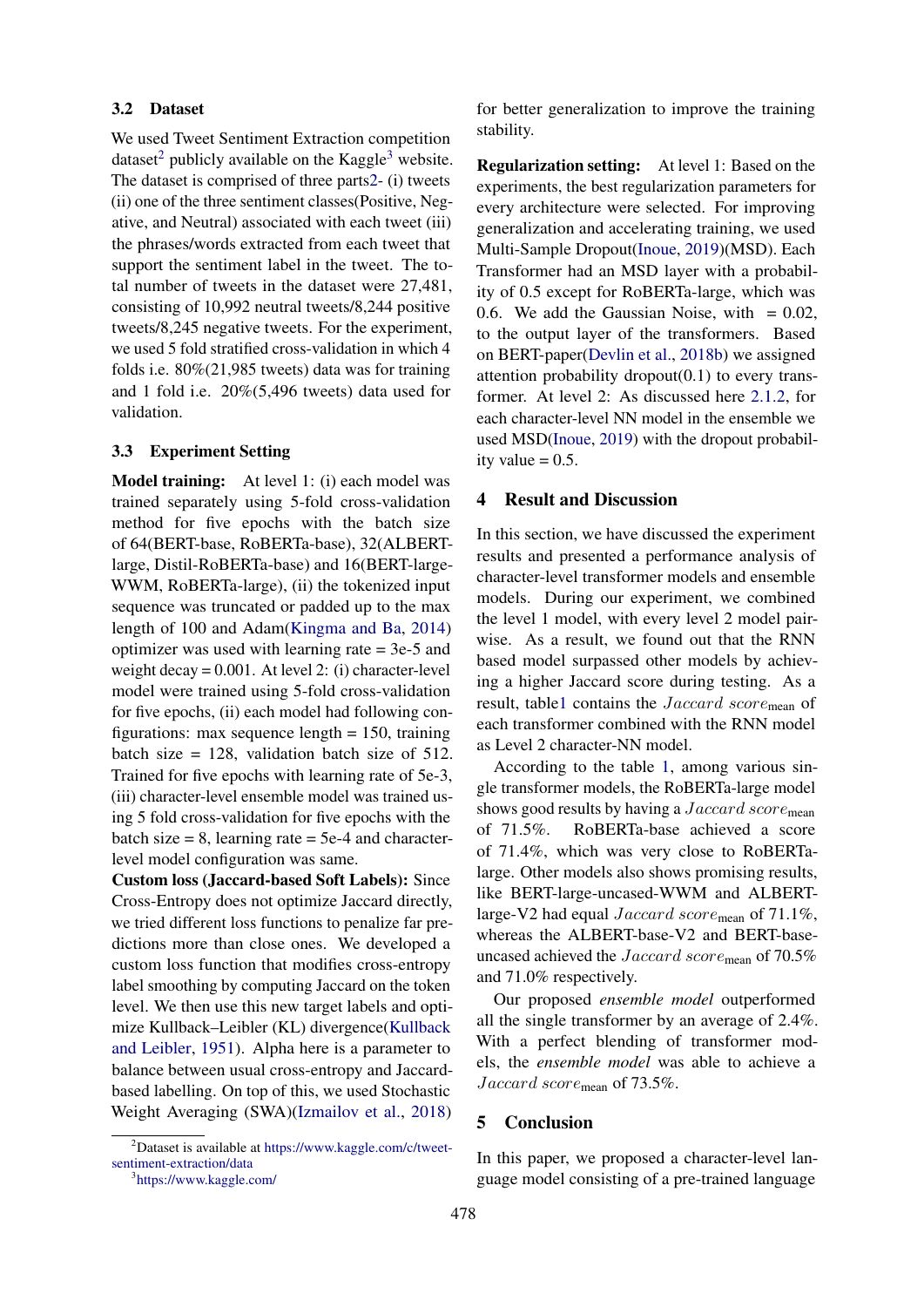#### 3.2 Dataset

We used Tweet Sentiment Extraction competition dataset<sup>[2](#page-3-1)</sup> publicly available on the Kaggle<sup>[3](#page-3-2)</sup> website. The dataset is comprised of three part[s2-](#page-5-0) (i) tweets (ii) one of the three sentiment classes(Positive, Negative, and Neutral) associated with each tweet (iii) the phrases/words extracted from each tweet that support the sentiment label in the tweet. The total number of tweets in the dataset were 27,481, consisting of 10,992 neutral tweets/8,244 positive tweets/8,245 negative tweets. For the experiment, we used 5 fold stratified cross-validation in which 4 folds i.e. 80%(21,985 tweets) data was for training and 1 fold i.e. 20%(5,496 tweets) data used for validation.

#### 3.3 Experiment Setting

<span id="page-3-0"></span>Model training: At level 1: (i) each model was trained separately using 5-fold cross-validation method for five epochs with the batch size of 64(BERT-base, RoBERTa-base), 32(ALBERTlarge, Distil-RoBERTa-base) and 16(BERT-large-WWM, RoBERTa-large), (ii) the tokenized input sequence was truncated or padded up to the max length of 100 and Adam[\(Kingma and Ba,](#page-4-6) [2014\)](#page-4-6) optimizer was used with learning rate = 3e-5 and weight decay = 0.001. At level 2: (i) character-level model were trained using 5-fold cross-validation for five epochs, (ii) each model had following configurations: max sequence length  $= 150$ , training batch size = 128, validation batch size of 512. Trained for five epochs with learning rate of 5e-3, (iii) character-level ensemble model was trained using 5 fold cross-validation for five epochs with the batch size  $= 8$ , learning rate  $= 5e-4$  and characterlevel model configuration was same.

Custom loss (Jaccard-based Soft Labels): Since Cross-Entropy does not optimize Jaccard directly, we tried different loss functions to penalize far predictions more than close ones. We developed a custom loss function that modifies cross-entropy label smoothing by computing Jaccard on the token level. We then use this new target labels and optimize Kullback–Leibler (KL) divergence[\(Kullback](#page-4-7) [and Leibler,](#page-4-7) [1951\)](#page-4-7). Alpha here is a parameter to balance between usual cross-entropy and Jaccardbased labelling. On top of this, we used Stochastic Weight Averaging (SWA)[\(Izmailov et al.,](#page-4-8) [2018\)](#page-4-8)

for better generalization to improve the training stability.

Regularization setting: At level 1: Based on the experiments, the best regularization parameters for every architecture were selected. For improving generalization and accelerating training, we used Multi-Sample Dropout[\(Inoue,](#page-4-5) [2019\)](#page-4-5)(MSD). Each Transformer had an MSD layer with a probability of 0.5 except for RoBERTa-large, which was 0.6. We add the Gaussian Noise, with  $= 0.02$ , to the output layer of the transformers. Based on BERT-paper[\(Devlin et al.,](#page-4-9) [2018b\)](#page-4-9) we assigned attention probability dropout $(0.1)$  to every transformer. At level 2: As discussed here [2.1.2,](#page-1-1) for each character-level NN model in the ensemble we used MSD[\(Inoue,](#page-4-5) [2019\)](#page-4-5) with the dropout probability value  $= 0.5$ .

# 4 Result and Discussion

In this section, we have discussed the experiment results and presented a performance analysis of character-level transformer models and ensemble models. During our experiment, we combined the level 1 model, with every level 2 model pairwise. As a result, we found out that the RNN based model surpassed other models by achieving a higher Jaccard score during testing. As a result, tabl[e1](#page-4-10) contains the Jaccard score<sub>mean</sub> of each transformer combined with the RNN model as Level 2 character-NN model.

According to the table [1,](#page-4-10) among various single transformer models, the RoBERTa-large model shows good results by having a *Jaccard score*<sub>mean</sub> of 71.5%. RoBERTa-base achieved a score of 71.4%, which was very close to RoBERTalarge. Other models also shows promising results, like BERT-large-uncased-WWM and ALBERTlarge-V2 had equal  $Jaccard score_{mean}$  of 71.1%, whereas the ALBERT-base-V2 and BERT-baseuncased achieved the Jaccard score<sub>mean</sub> of 70.5% and 71.0% respectively.

Our proposed *ensemble model* outperformed all the single transformer by an average of 2.4%. With a perfect blending of transformer models, the *ensemble model* was able to achieve a Jaccard score<sub>mean</sub> of 73.5%.

### 5 Conclusion

In this paper, we proposed a character-level language model consisting of a pre-trained language

<span id="page-3-1"></span> $2$ Dataset is available at [https://www.kaggle.com/c/tweet](https://www.kaggle.com/c/tweet-sentiment-extraction/data)[sentiment-extraction/data](https://www.kaggle.com/c/tweet-sentiment-extraction/data)

<span id="page-3-2"></span><sup>3</sup> <https://www.kaggle.com/>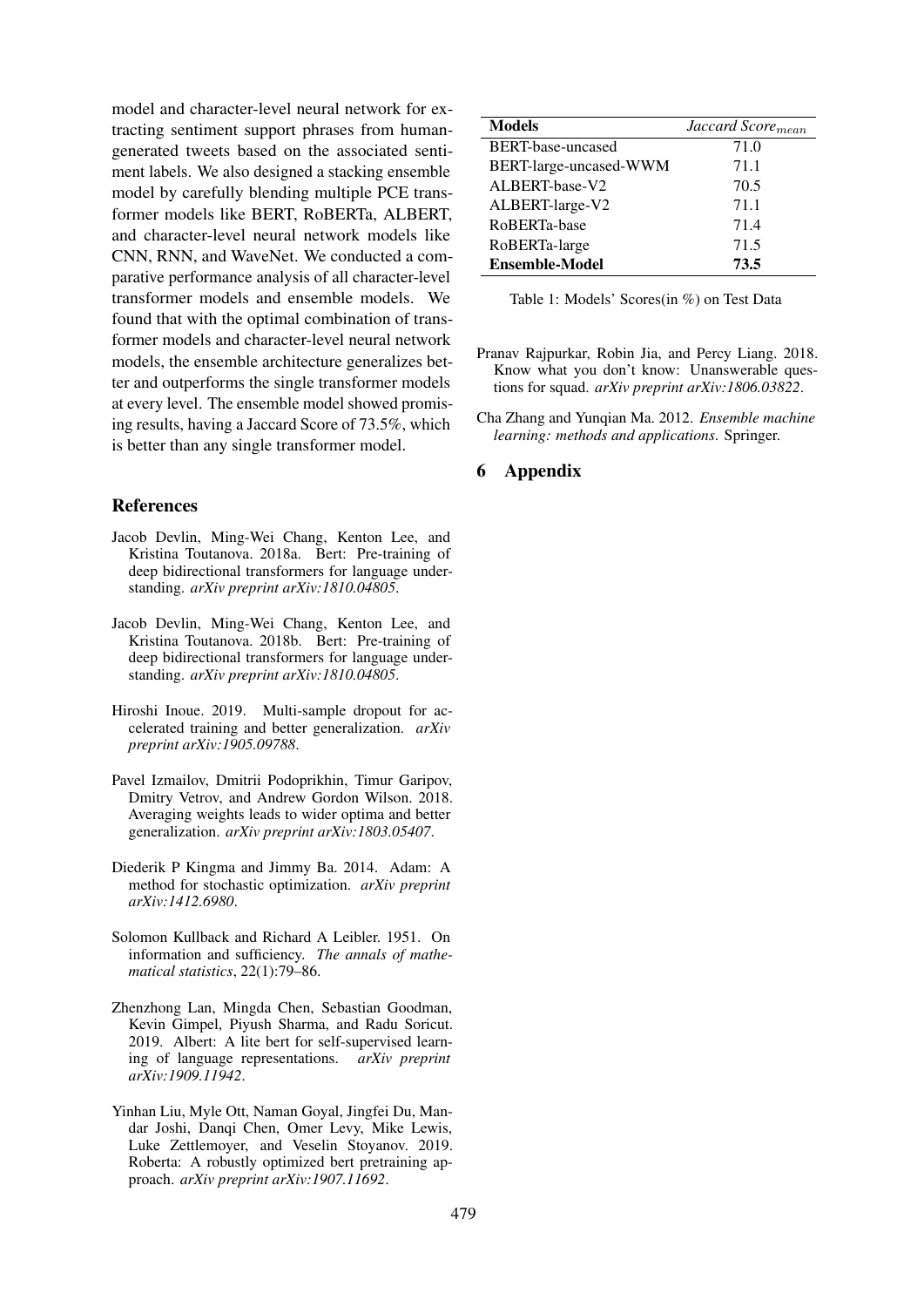model and character-level neural network for extracting sentiment support phrases from humangenerated tweets based on the associated sentiment labels. We also designed a stacking ensemble model by carefully blending multiple PCE transformer models like BERT, RoBERTa, ALBERT, and character-level neural network models like CNN, RNN, and WaveNet. We conducted a comparative performance analysis of all character-level transformer models and ensemble models. We found that with the optimal combination of transformer models and character-level neural network models, the ensemble architecture generalizes better and outperforms the single transformer models at every level. The ensemble model showed promising results, having a Jaccard Score of 73.5%, which is better than any single transformer model.

# **References**

- <span id="page-4-1"></span>Jacob Devlin, Ming-Wei Chang, Kenton Lee, and Kristina Toutanova. 2018a. Bert: Pre-training of deep bidirectional transformers for language understanding. *arXiv preprint arXiv:1810.04805*.
- <span id="page-4-9"></span>Jacob Devlin, Ming-Wei Chang, Kenton Lee, and Kristina Toutanova. 2018b. Bert: Pre-training of deep bidirectional transformers for language understanding. *arXiv preprint arXiv:1810.04805*.
- <span id="page-4-5"></span>Hiroshi Inoue. 2019. Multi-sample dropout for accelerated training and better generalization. *arXiv preprint arXiv:1905.09788*.
- <span id="page-4-8"></span>Pavel Izmailov, Dmitrii Podoprikhin, Timur Garipov, Dmitry Vetrov, and Andrew Gordon Wilson. 2018. Averaging weights leads to wider optima and better generalization. *arXiv preprint arXiv:1803.05407*.
- <span id="page-4-6"></span>Diederik P Kingma and Jimmy Ba. 2014. Adam: A method for stochastic optimization. *arXiv preprint arXiv:1412.6980*.
- <span id="page-4-7"></span>Solomon Kullback and Richard A Leibler. 1951. On information and sufficiency. *The annals of mathematical statistics*, 22(1):79–86.
- <span id="page-4-2"></span>Zhenzhong Lan, Mingda Chen, Sebastian Goodman, Kevin Gimpel, Piyush Sharma, and Radu Soricut. 2019. Albert: A lite bert for self-supervised learning of language representations. *arXiv preprint arXiv:1909.11942*.
- <span id="page-4-3"></span>Yinhan Liu, Myle Ott, Naman Goyal, Jingfei Du, Mandar Joshi, Danqi Chen, Omer Levy, Mike Lewis, Luke Zettlemoyer, and Veselin Stoyanov. 2019. Roberta: A robustly optimized bert pretraining approach. *arXiv preprint arXiv:1907.11692*.

<span id="page-4-10"></span>

| <b>Models</b>          | Jaccard Score <sub>mean</sub> |
|------------------------|-------------------------------|
| BERT-base-uncased      | 71.0                          |
| BERT-large-uncased-WWM | 71.1                          |
| ALBERT-base-V2         | 70.5                          |
| ALBERT-large-V2        | 71.1                          |
| RoBERTa-base           | 71.4                          |
| RoBERTa-large          | 71.5                          |
| <b>Ensemble-Model</b>  | 73.5                          |

Table 1: Models' Scores(in %) on Test Data

- <span id="page-4-4"></span>Pranav Rajpurkar, Robin Jia, and Percy Liang. 2018. Know what you don't know: Unanswerable questions for squad. *arXiv preprint arXiv:1806.03822*.
- <span id="page-4-0"></span>Cha Zhang and Yunqian Ma. 2012. *Ensemble machine learning: methods and applications*. Springer.

# 6 Appendix